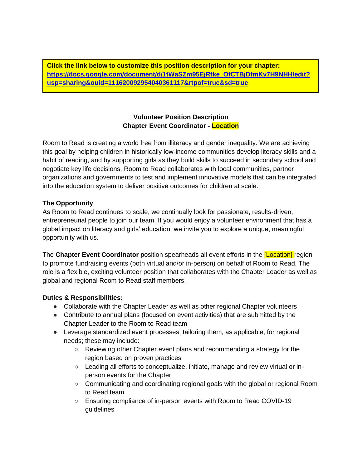**Click the link below to customize this position description for your chapter: [https://docs.google.com/document/d/1tWaSZm95EjRfke\\_OfCTBjDfmKv7H9NHH/edit?](https://docs.google.com/document/d/1tWaSZm95EjRfke_OfCTBjDfmKv7H9NHH/edit?usp=sharing&ouid=111620092954040361117&rtpof=true&sd=true) [usp=sharing&ouid=111620092954040361117&rtpof=true&sd=true](https://docs.google.com/document/d/1tWaSZm95EjRfke_OfCTBjDfmKv7H9NHH/edit?usp=sharing&ouid=111620092954040361117&rtpof=true&sd=true)**

# **Volunteer Position Description Chapter Event Coordinator - Location**

Room to Read is creating a world free from illiteracy and gender inequality. We are achieving this goal by helping children in historically low-income communities develop literacy skills and a habit of reading, and by supporting girls as they build skills to succeed in secondary school and negotiate key life decisions. Room to Read collaborates with local communities, partner organizations and governments to test and implement innovative models that can be integrated into the education system to deliver positive outcomes for children at scale.

# **The Opportunity**

As Room to Read continues to scale, we continually look for passionate, results-driven, entrepreneurial people to join our team. If you would enjoy a volunteer environment that has a global impact on literacy and girls' education, we invite you to explore a unique, meaningful opportunity with us.

The **Chapter Event Coordinator** position spearheads all event efforts in the [Location] region to promote fundraising events (both virtual and/or in-person) on behalf of Room to Read. The role is a flexible, exciting volunteer position that collaborates with the Chapter Leader as well as global and regional Room to Read staff members.

# **Duties & Responsibilities:**

- Collaborate with the Chapter Leader as well as other regional Chapter volunteers
- Contribute to annual plans (focused on event activities) that are submitted by the Chapter Leader to the Room to Read team
- Leverage standardized event processes, tailoring them, as applicable, for regional needs; these may include:
	- Reviewing other Chapter event plans and recommending a strategy for the region based on proven practices
	- Leading all efforts to conceptualize, initiate, manage and review virtual or inperson events for the Chapter
	- Communicating and coordinating regional goals with the global or regional Room to Read team
	- Ensuring compliance of in-person events with Room to Read COVID-19 guidelines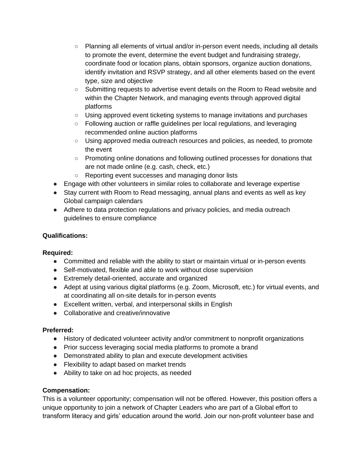- Planning all elements of virtual and/or in-person event needs, including all details to promote the event, determine the event budget and fundraising strategy, coordinate food or location plans, obtain sponsors, organize auction donations, identify invitation and RSVP strategy, and all other elements based on the event type, size and objective
- Submitting requests to advertise event details on the Room to Read website and within the Chapter Network, and managing events through approved digital platforms
- Using approved event ticketing systems to manage invitations and purchases
- Following auction or raffle guidelines per local regulations, and leveraging recommended online auction platforms
- Using approved media outreach resources and policies, as needed, to promote the event
- Promoting online donations and following outlined processes for donations that are not made online (e.g. cash, check, etc.)
- Reporting event successes and managing donor lists
- Engage with other volunteers in similar roles to collaborate and leverage expertise
- Stay current with Room to Read messaging, annual plans and events as well as key Global campaign calendars
- Adhere to data protection regulations and privacy policies, and media outreach guidelines to ensure compliance

# **Qualifications:**

# **Required:**

- Committed and reliable with the ability to start or maintain virtual or in-person events
- Self-motivated, flexible and able to work without close supervision
- Extremely detail-oriented, accurate and organized
- Adept at using various digital platforms (e.g. Zoom, Microsoft, etc.) for virtual events, and at coordinating all on-site details for in-person events
- Excellent written, verbal, and interpersonal skills in English
- Collaborative and creative/innovative

# **Preferred:**

- History of dedicated volunteer activity and/or commitment to nonprofit organizations
- Prior success leveraging social media platforms to promote a brand
- Demonstrated ability to plan and execute development activities
- Flexibility to adapt based on market trends
- Ability to take on ad hoc projects, as needed

# **Compensation:**

This is a volunteer opportunity; compensation will not be offered. However, this position offers a unique opportunity to join a network of Chapter Leaders who are part of a Global effort to transform literacy and girls' education around the world. Join our non-profit volunteer base and